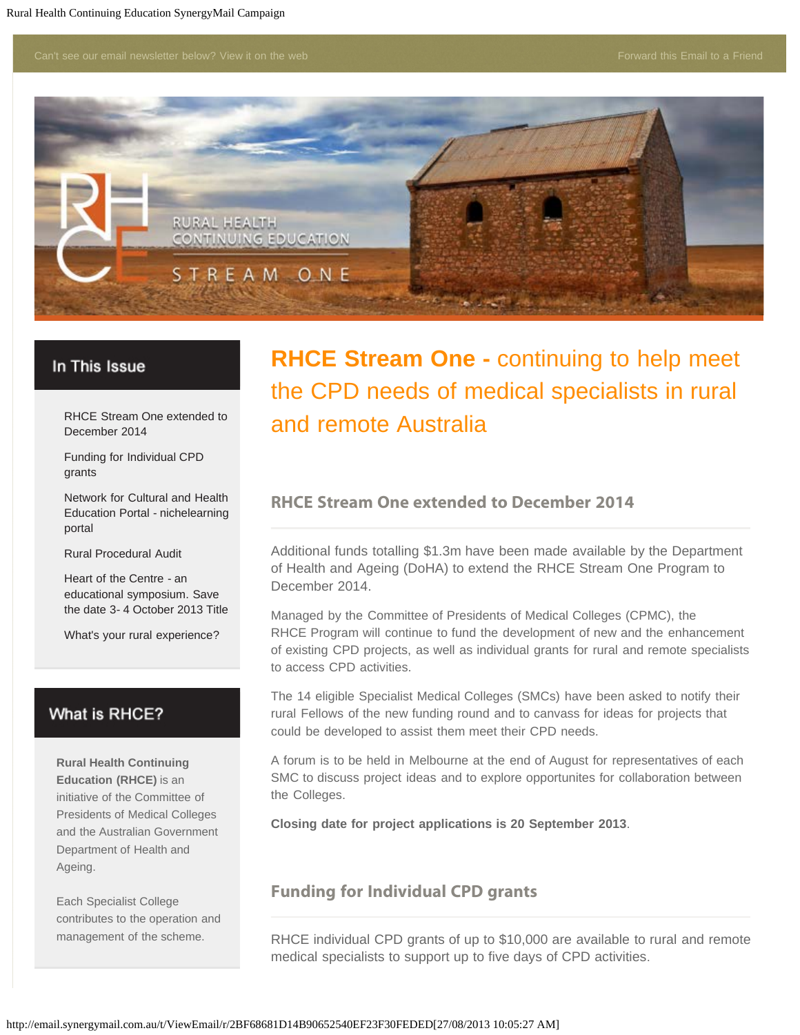

#### In This Issue

[RHCE Stream One extended to](#page-0-0) [December 2014](#page-0-0)

<span id="page-0-0"></span>[Funding for Individual CPD](#page-0-1) [grants](#page-0-1)

[Network for Cultural and Health](#page-1-0) [Education Portal - nichelearning](#page-1-0) [portal](#page-1-0)

[Rural Procedural Audit](#page-2-0)

[Heart of the Centre - an](#page-2-1) [educational symposium. Save](#page-2-1) [the date 3- 4 October 2013 Title](#page-2-1)

[What's your rural experience?](#page-3-0)

## What is RHCE?

**Rural Health Continuing Education (RHCE)** is an initiative of the Committee of Presidents of Medical Colleges and the Australian Government Department of Health and Ageing.

<span id="page-0-1"></span>Each Specialist College contributes to the operation and management of the scheme.

# **RHCE Stream One -** continuing to help meet the CPD needs of medical specialists in rural and remote Australia

#### **RHCE Stream One extended to December 2014**

Additional funds totalling \$1.3m have been made available by the Department of Health and Ageing (DoHA) to extend the RHCE Stream One Program to December 2014.

Managed by the Committee of Presidents of Medical Colleges (CPMC), the RHCE Program will continue to fund the development of new and the enhancement of existing CPD projects, as well as individual grants for rural and remote specialists to access CPD activities.

The 14 eligible Specialist Medical Colleges (SMCs) have been asked to notify their rural Fellows of the new funding round and to canvass for ideas for projects that could be developed to assist them meet their CPD needs.

A forum is to be held in Melbourne at the end of August for representatives of each SMC to discuss project ideas and to explore opportunites for collaboration between the Colleges.

**Closing date for project applications is 20 September 2013**.

### **Funding for Individual CPD grants**

RHCE individual CPD grants of up to \$10,000 are available to rural and remote medical specialists to support up to five days of CPD activities.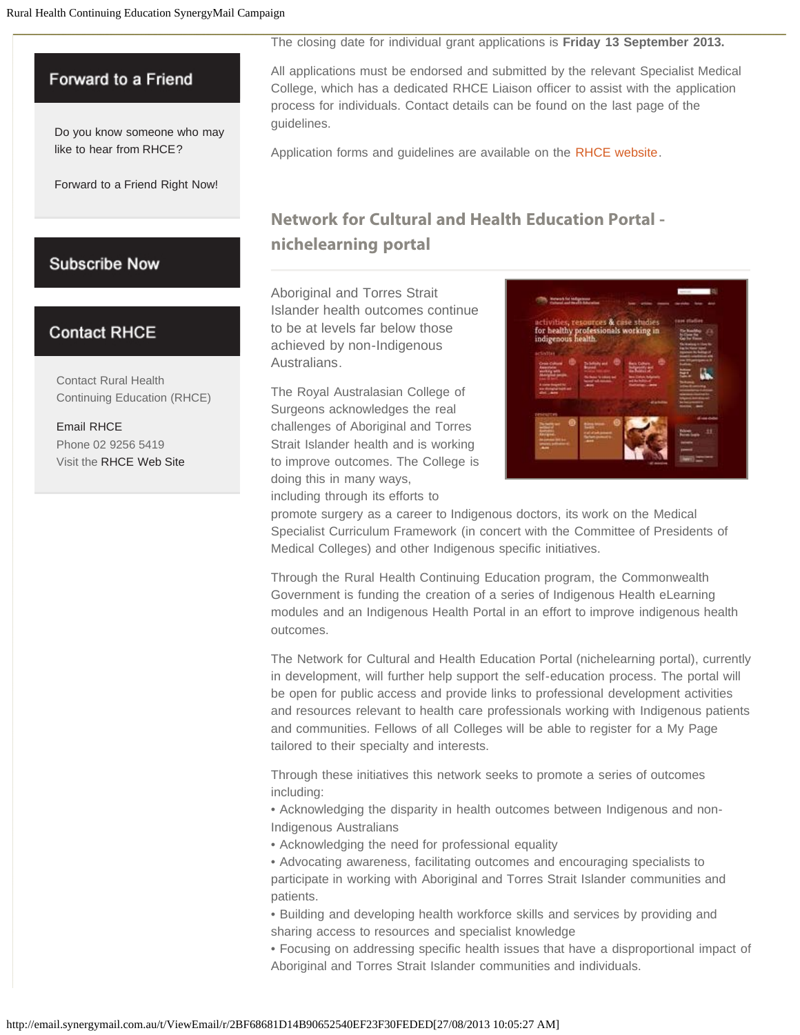### Forward to a Friend

[Do you know someone who may](http://ruralhealthcontinuingeducation.forwardtomyfriend.com/r-l-2AD73FFF-biyjtdy-l-j) [like to hear from RHCE?](http://ruralhealthcontinuingeducation.forwardtomyfriend.com/r-l-2AD73FFF-biyjtdy-l-j) 

<span id="page-1-0"></span>[Forward to a Friend Right Now!](http://ruralhealthcontinuingeducation.forwardtomyfriend.com/r-l-2AD73FFF-biyjtdy-l-j)

## **Subscribe Now**

# **Contact RHCE**

Contact Rural Health Continuing Education (RHCE)

[Email RHCE](mailto:admin@ruralspecialist.org.au) Phone 02 9256 5419 Visit the [RHCE Web Site](http://email.synergymail.com.au/t/r-l-biyjtdy-l-k/) The closing date for individual grant applications is **Friday 13 September 2013.**

All applications must be endorsed and submitted by the relevant Specialist Medical College, which has a dedicated RHCE Liaison officer to assist with the application process for individuals. Contact details can be found on the last page of the guidelines.

Application forms and guidelines are available on the [RHCE website](http://email.synergymail.com.au/t/r-l-biyjtdy-l-u/).

# **Network for Cultural and Health Education Portal nichelearning portal**

Aboriginal and Torres Strait Islander health outcomes continue to be at levels far below those achieved by non-Indigenous Australians.

The Royal Australasian College of Surgeons acknowledges the real challenges of Aboriginal and Torres Strait Islander health and is working to improve outcomes. The College is doing this in many ways,

including through its efforts to



promote surgery as a career to Indigenous doctors, its work on the Medical Specialist Curriculum Framework (in concert with the Committee of Presidents of Medical Colleges) and other Indigenous specific initiatives.

Through the Rural Health Continuing Education program, the Commonwealth Government is funding the creation of a series of Indigenous Health eLearning modules and an Indigenous Health Portal in an effort to improve indigenous health outcomes.

The Network for Cultural and Health Education Portal (nichelearning portal), currently in development, will further help support the self-education process. The portal will be open for public access and provide links to professional development activities and resources relevant to health care professionals working with Indigenous patients and communities. Fellows of all Colleges will be able to register for a My Page tailored to their specialty and interests.

Through these initiatives this network seeks to promote a series of outcomes including:

• Acknowledging the disparity in health outcomes between Indigenous and non-Indigenous Australians

- Acknowledging the need for professional equality
- Advocating awareness, facilitating outcomes and encouraging specialists to participate in working with Aboriginal and Torres Strait Islander communities and patients.
- Building and developing health workforce skills and services by providing and sharing access to resources and specialist knowledge

• Focusing on addressing specific health issues that have a disproportional impact of Aboriginal and Torres Strait Islander communities and individuals.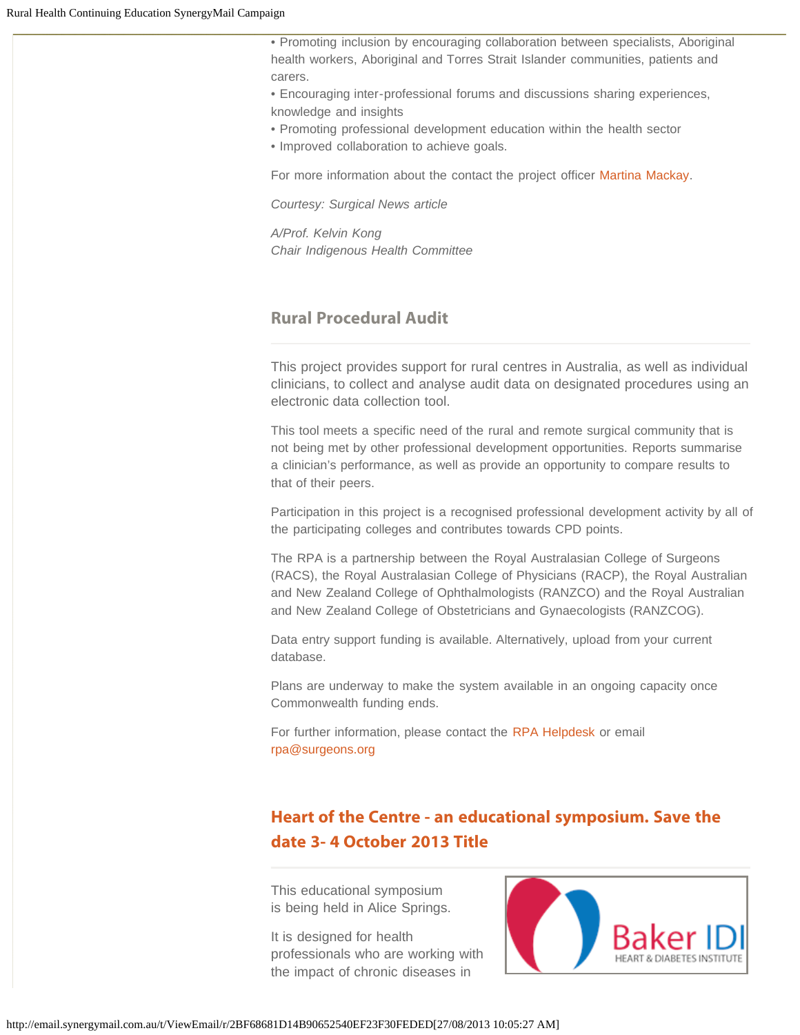• Promoting inclusion by encouraging collaboration between specialists, Aboriginal health workers, Aboriginal and Torres Strait Islander communities, patients and carers.

• Encouraging inter-professional forums and discussions sharing experiences, knowledge and insights

• Promoting professional development education within the health sector

• Improved collaboration to achieve goals.

For more information about the contact the project officer [Martina Mackay.](mailto:martina.mackay@surgeons.org)

*Courtesy: Surgical News article*

*A/Prof. Kelvin Kong Chair Indigenous Health Committee*

# <span id="page-2-0"></span>**Rural Procedural Audit**

This project provides support for rural centres in Australia, as well as individual clinicians, to collect and analyse audit data on designated procedures using an electronic data collection tool.

This tool meets a specific need of the rural and remote surgical community that is not being met by other professional development opportunities. Reports summarise a clinician's performance, as well as provide an opportunity to compare results to that of their peers.

Participation in this project is a recognised professional development activity by all of the participating colleges and contributes towards CPD points.

The RPA is a partnership between the Royal Australasian College of Surgeons (RACS), the Royal Australasian College of Physicians (RACP), the Royal Australian and New Zealand College of Ophthalmologists (RANZCO) and the Royal Australian and New Zealand College of Obstetricians and Gynaecologists (RANZCOG).

Data entry support funding is available. Alternatively, upload from your current database.

Plans are underway to make the system available in an ongoing capacity once Commonwealth funding ends.

For further information, please contact the [RPA Helpdesk](http://email.synergymail.com.au/t/r-l-biyjtdy-l-o/) or email [rpa@surgeons.org](mailto:rpa@surgeons.org)

# <span id="page-2-1"></span>**[Heart of the Centre - an educational symposium. Save the](http://email.synergymail.com.au/t/r-l-biyjtdy-l-b/) [date 3- 4 October 2013 Title](http://email.synergymail.com.au/t/r-l-biyjtdy-l-b/)**

This educational symposium is being held in Alice Springs.

It is designed for health professionals who are working with the impact of chronic diseases in